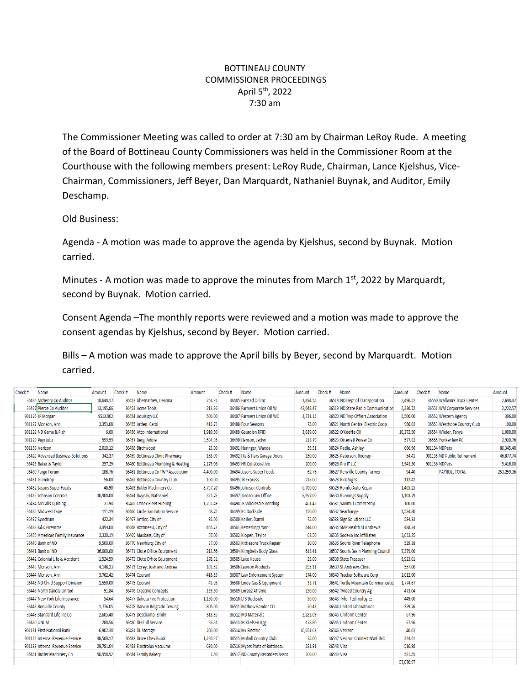## BOTTINEAU COUNTY COMMISSIONER PROCEEDINGS April 5th, 2022 7:30 am

The Commissioner Meeting was called to order at 7:30 am by Chairman LeRoy Rude. A meeting of the Board of Bottineau County Commissioners was held in the Commissioner Room at the Courthouse with the following members present: LeRoy Rude, Chairman, Lance Kjelshus, Vice-Chairman, Commissioners, Jeff Beyer, Dan Marquardt, Nathaniel Buynak, and Auditor, Emily Deschamp.

Old Business:

Agenda - A motion was made to approve the agenda by Kjelshus, second by Buynak. Motion carried.

Minutes - A motion was made to approve the minutes from March  $1<sup>st</sup>$ , 2022 by Marquardt, second by Buynak. Motion carried.

Consent Agenda –The monthly reports were reviewed and a motion was made to approve the consent agendas by Kjelshus, second by Beyer. Motion carried.

Bills – A motion was made to approve the April bills by Beyer, second by Marquardt. Motion carried.

| Name<br>Check#                    | Amount    | Check# | Name                               | Amount   | Check# | Name                            | Amount    | Check#     | Name                                | Amount    | Check# | Name                        | Amount     |
|-----------------------------------|-----------|--------|------------------------------------|----------|--------|---------------------------------|-----------|------------|-------------------------------------|-----------|--------|-----------------------------|------------|
| 36426 Mchenry Co Auditor          | 18.640.17 |        | 36452 Abernathey, Deanna           | 254.91   |        | 36485 Farstad Oil Inc           | 3.894.55  |            | 36518 ND Dept of Transporation      | 2.496.52  |        | 36550 Wallwork Truck Center | 2,698.47   |
| 36427 Pierce Co Auditor           | 13,195.86 |        | 36453 Acme Tools                   | 213.36   |        | 36486 Farmers Union Oil W       | 42,048.47 |            | 36519 ND State Radio Communication  | 2,330.72  |        | 36551 WM Corporate Services | 2,222.57   |
| 901126 JP Morgan                  | 9513.902  |        | 36454 Aquisign LLC                 | 500.00   |        | 36487 Farmers Union Oil WC      | 3,731.15  |            | 36520 ND Twp Offiers Association    | 5,500.00  |        | 36552 Western Agency        | 396.00     |
| 901127 Monson, Ann                | 3,353.08  |        | 36455 Arden, Carol                 | 413.73   |        | 36488 Four Seasons              | 75.00     |            | 36521 North Central Electric Coop   | 966.02    |        | 36553 Westhope Country Club | 100.00     |
| 901128 ND Game & Fish             | 6.00      |        | 36456 Atco International           | 1,910.50 |        | 36489 Gaurdian RFID             | 3,639.00  |            | 36522 O'Keeffe Oil                  | 10,372.50 |        | 36554 Wieler, Tanya         | 1,000.00   |
| 901129 Paystubz                   | 599.59    |        | 36457 Berg, Addie                  | 3,594.95 |        | 36490 Hanson, Jaclyn            | 218.79    |            | 36523 Ottertail Power Co            | 577.82    |        | 36555 Yunker law PC         | 2,920.76   |
| 901130 Verizon                    | 2,010.12  |        | 36458 Birchwood                    | 25.00    |        | 36491 Heringer, Wanda           | 39.51     |            | 36524 Pedie, Ashley                 | 666.96    |        | 901134 NDPers               | 86,345.40  |
| 36428 Advanced Business Solutions | 342.37    |        | 36459 Bottineau Clinic Pharmacy    | 168.09   |        | 36492 His & Hers Garage Doors   | 150.00    |            | 36525 Peterson, Rodney              | 54.41     |        | 901135 ND Public Retirement | 46,877.74  |
| 36429 Baker & Taylor              | 257.29    |        | 36460 Bottineau Plumbing & Heating | 2,179.06 |        | 36493 HR Collaborative          | 200.00    |            | 36526 Pro IT LLC                    | 3.943.50  |        | 901136 NDPers               | 5,416.00   |
| 36430 Fargo Forum                 | 188.76    |        | 36461 Bottineau Co TWP Association | 4,400.00 |        | 36494 Jasons Super Foods        | 62.76     |            | 36527 Renville County Farmer        | 94.40     |        | <b>PAYROLL TOTAL</b>        | 253,259.36 |
| 36431 Gumdrop                     | 56.00     |        | 36462 Bottineau Country Club       | 100.00   |        | 36495 JB Express                | 215.00    |            | 36528 Rice Signs                    | 112.42    |        |                             |            |
| 36432 Jasons Super Foods          | 46.90     |        | 36463 Butler Machinery Co          | 8,757.20 |        | 36496 Johnson Controls          | 6,700.00  |            | 36529 Romfo Auto Repair             | 1,405.25  |        |                             |            |
| 36433 Johnson Controls            | 30,900.00 |        | 36464 Buynak, Nathaniel            | 321.75   |        | 36497 Jordan Law Office         | 6,997.00  |            | 36530 Runnings Supply               | 1.103.79  |        |                             |            |
| 36434 McCalls Quilting            | 21.98     |        | 36465 Cenex Fleet Fueling          | 1,255.49 |        | 36498 JS Wholesale Vending      | 461.45    |            | 36531 Sawmill Corner Stop           | 100.00    |        |                             |            |
| 36435 Midwest Tape                | 111.19    |        | 36466 Circle Sanitation Service    | 68.75    |        | 36499 KC Dockside               | 150.00    |            | 36532 Seachange                     | 1,584.80  |        |                             |            |
| 36437 Spectrum                    | 422.34    |        | 36467 Antler, City of              | 95.00    |        | 36500 Keller, Darrel            | 75.00     |            | 36533 Sign Solutions LLC            | 584.33    |        |                             |            |
| 36438 K&D Firearms                | 3,499.00  |        | 36468 Bottineau, City of           | 465.73   |        | 36501 Ketterlings Yard          | 544.00    |            | 36534 SMP Health St Andrews         | 488.34    |        |                             |            |
| 36439 American Family Insurance   | 3,330.19  |        | 36469 Maxbass, City of             | 87.00    |        | 36502 Kippen, Taylor            | 62.50     |            | 36535 Sodexo Inc Affiliates         | 3,633.25  |        |                             |            |
| 36440 Bank of ND                  | 9,500.00  |        | 36470 Newburg, City of             | 37.00    |        | 36503 Kittlesons Truck Repair   | 30.00     |            | 36536 Souris River Telephone        | 529.38    |        |                             |            |
| 36441 Bank of ND                  | 36,000.00 |        | 36471 Clute Office Equipment       | 212.66   |        | 36504 Klingbeils Body Glass     | 613.41    |            | 36537 Souris Basin Planning Council | 7,379.00  |        |                             |            |
| 36442 Colonial Life & Accident    | 1,524.59  |        | 36472 Clute Office Equipment       | 178.91   |        | 36505 Lake House                | 25.00     |            | 36538 State Treasuer                | 6,923.01  |        |                             |            |
| 36443 Monson, Ann                 | 4,148.23  |        | 36473 Corey, Josh and Andrea       | 101.52   |        | 36506 Lawson Products           | 295.11    |            | 36539 St Andrews Clinic             | 557.00    |        |                             |            |
| 36444 Monson, Ann                 | 3,762.42  |        | 36474 Courant                      | 418.85   |        | 36507 Law Enforcement System    | 174.00    |            | 36540 Tracker Software Corp         | 1,012.00  |        |                             |            |
| 36445 ND Child Support Division   | 1,550.00  |        | 36475 Courant                      | 43.05    |        | 36508 Linde Gas & Equipment     | 33.71     |            | 36541 Turtle Mountain Communicatic  | 1,774.67  |        |                             |            |
| 36446 North Dakota United         | 91.84     |        | 36476 Creative Concepts            | 139.50   |        | 36509 Loreez Aframe             | 150.00    |            | 36542 Tweed Country Ag              | 473.04    |        |                             |            |
| 36447 New York Life Insurance     | 54.64     |        | 36477 Dakota Fire Protection       | 1,150.00 |        | 36510 LTS Dockside              | 50.00     |            | 36543 Tyler Technologies            | 449.00    |        |                             |            |
| 36448 Renville County             | 1,776.05  |        | 36478 Darwin Belgrade Towing       | 800.00   |        | 36511 Mathew Bender CO          | 70.43     |            | 36544 United Laboratories           | 359.76    |        |                             |            |
| 36449 Standard Life Ins Co        | 2,605.40  |        | 36479 Deschamp, Emily              | 313.95   |        | 36512 MD Materials              | 2,282.09  |            | 36545 Uniform Center                | 67.96     |        |                             |            |
| 36450 UNUM                        | 280.56    |        | 36480 DH Full Service              | 95.54    |        | 36513 Mikkelsen Agg             | 478.80    |            | 36545 Uniform Center                | 67.96     |        |                             |            |
| 901131 First National Bank        | 6,902.38  |        | 36481 DL Storage                   | 260.00   |        | 36514 Mk Electric               | 10,651.63 |            | 36546 Verizon                       | 40.02     |        |                             |            |
| 901132 Internal Revenue Service   | 48,508.17 |        | 36482 Drive Chev Buick             | 1,230.97 |        | 36515 Mohall Country Club       | 75.00     |            | 36547 Verizon Connect NWF INC       | 324.61    |        |                             |            |
| 901133 Internal Revenue Service   | 29,781.04 |        | 36483 Electrolux Vacuums           | 630.00   |        | 36516 Myers Parts of Bottineau  | 281.91    | 36548 Visa |                                     | 516.98    |        |                             |            |
| 36451 Butler Machinery Co         | 50,958.92 |        | 36484 Family Bakery                | 7.50     |        | 36517 ND County Recorders Assoc | 200.00    | 36549 Visa |                                     | 581.55    |        |                             |            |
|                                   |           |        |                                    |          |        |                                 |           |            |                                     | 57,070.97 |        |                             |            |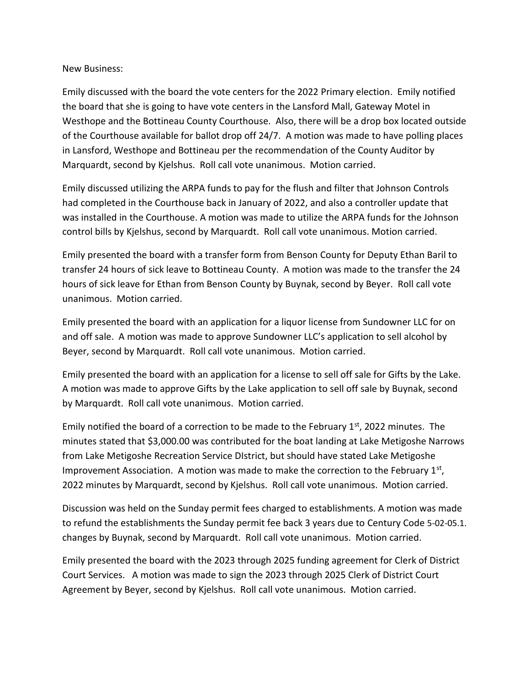## New Business:

Emily discussed with the board the vote centers for the 2022 Primary election. Emily notified the board that she is going to have vote centers in the Lansford Mall, Gateway Motel in Westhope and the Bottineau County Courthouse. Also, there will be a drop box located outside of the Courthouse available for ballot drop off 24/7. A motion was made to have polling places in Lansford, Westhope and Bottineau per the recommendation of the County Auditor by Marquardt, second by Kjelshus. Roll call vote unanimous. Motion carried.

Emily discussed utilizing the ARPA funds to pay for the flush and filter that Johnson Controls had completed in the Courthouse back in January of 2022, and also a controller update that was installed in the Courthouse. A motion was made to utilize the ARPA funds for the Johnson control bills by Kjelshus, second by Marquardt. Roll call vote unanimous. Motion carried.

Emily presented the board with a transfer form from Benson County for Deputy Ethan Baril to transfer 24 hours of sick leave to Bottineau County. A motion was made to the transfer the 24 hours of sick leave for Ethan from Benson County by Buynak, second by Beyer. Roll call vote unanimous. Motion carried.

Emily presented the board with an application for a liquor license from Sundowner LLC for on and off sale. A motion was made to approve Sundowner LLC's application to sell alcohol by Beyer, second by Marquardt. Roll call vote unanimous. Motion carried.

Emily presented the board with an application for a license to sell off sale for Gifts by the Lake. A motion was made to approve Gifts by the Lake application to sell off sale by Buynak, second by Marquardt. Roll call vote unanimous. Motion carried.

Emily notified the board of a correction to be made to the February  $1<sup>st</sup>$ , 2022 minutes. The minutes stated that \$3,000.00 was contributed for the boat landing at Lake Metigoshe Narrows from Lake Metigoshe Recreation Service DIstrict, but should have stated Lake Metigoshe Improvement Association. A motion was made to make the correction to the February  $1<sup>st</sup>$ , 2022 minutes by Marquardt, second by Kjelshus. Roll call vote unanimous. Motion carried.

Discussion was held on the Sunday permit fees charged to establishments. A motion was made to refund the establishments the Sunday permit fee back 3 years due to Century Code 5-02-05.1. changes by Buynak, second by Marquardt. Roll call vote unanimous. Motion carried.

Emily presented the board with the 2023 through 2025 funding agreement for Clerk of District Court Services. A motion was made to sign the 2023 through 2025 Clerk of District Court Agreement by Beyer, second by Kjelshus. Roll call vote unanimous. Motion carried.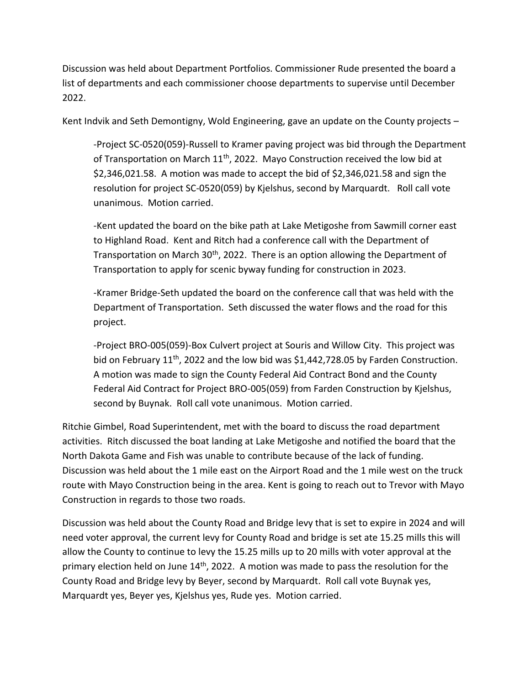Discussion was held about Department Portfolios. Commissioner Rude presented the board a list of departments and each commissioner choose departments to supervise until December 2022.

Kent Indvik and Seth Demontigny, Wold Engineering, gave an update on the County projects –

-Project SC-0520(059)-Russell to Kramer paving project was bid through the Department of Transportation on March  $11<sup>th</sup>$ , 2022. Mayo Construction received the low bid at \$2,346,021.58. A motion was made to accept the bid of \$2,346,021.58 and sign the resolution for project SC-0520(059) by Kjelshus, second by Marquardt. Roll call vote unanimous. Motion carried.

-Kent updated the board on the bike path at Lake Metigoshe from Sawmill corner east to Highland Road. Kent and Ritch had a conference call with the Department of Transportation on March  $30<sup>th</sup>$ , 2022. There is an option allowing the Department of Transportation to apply for scenic byway funding for construction in 2023.

-Kramer Bridge-Seth updated the board on the conference call that was held with the Department of Transportation. Seth discussed the water flows and the road for this project.

-Project BRO-005(059)-Box Culvert project at Souris and Willow City. This project was bid on February  $11^{th}$ , 2022 and the low bid was \$1,442,728.05 by Farden Construction. A motion was made to sign the County Federal Aid Contract Bond and the County Federal Aid Contract for Project BRO-005(059) from Farden Construction by Kjelshus, second by Buynak. Roll call vote unanimous. Motion carried.

Ritchie Gimbel, Road Superintendent, met with the board to discuss the road department activities. Ritch discussed the boat landing at Lake Metigoshe and notified the board that the North Dakota Game and Fish was unable to contribute because of the lack of funding. Discussion was held about the 1 mile east on the Airport Road and the 1 mile west on the truck route with Mayo Construction being in the area. Kent is going to reach out to Trevor with Mayo Construction in regards to those two roads.

Discussion was held about the County Road and Bridge levy that is set to expire in 2024 and will need voter approval, the current levy for County Road and bridge is set ate 15.25 mills this will allow the County to continue to levy the 15.25 mills up to 20 mills with voter approval at the primary election held on June  $14<sup>th</sup>$ , 2022. A motion was made to pass the resolution for the County Road and Bridge levy by Beyer, second by Marquardt. Roll call vote Buynak yes, Marquardt yes, Beyer yes, Kjelshus yes, Rude yes. Motion carried.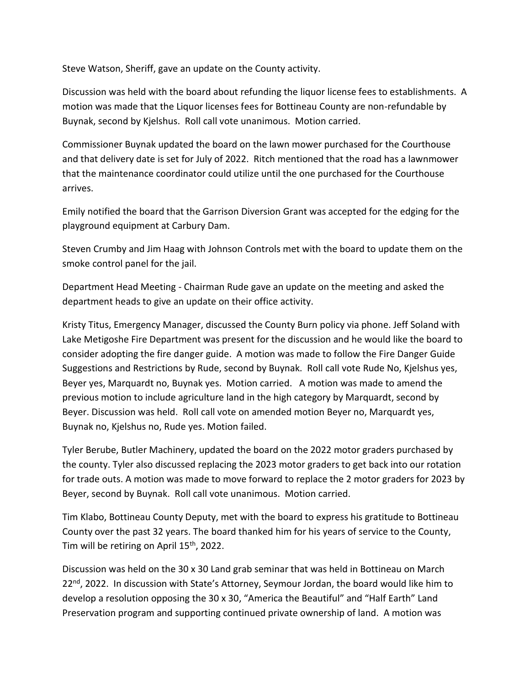Steve Watson, Sheriff, gave an update on the County activity.

Discussion was held with the board about refunding the liquor license fees to establishments. A motion was made that the Liquor licenses fees for Bottineau County are non-refundable by Buynak, second by Kjelshus. Roll call vote unanimous. Motion carried.

Commissioner Buynak updated the board on the lawn mower purchased for the Courthouse and that delivery date is set for July of 2022. Ritch mentioned that the road has a lawnmower that the maintenance coordinator could utilize until the one purchased for the Courthouse arrives.

Emily notified the board that the Garrison Diversion Grant was accepted for the edging for the playground equipment at Carbury Dam.

Steven Crumby and Jim Haag with Johnson Controls met with the board to update them on the smoke control panel for the jail.

Department Head Meeting - Chairman Rude gave an update on the meeting and asked the department heads to give an update on their office activity.

Kristy Titus, Emergency Manager, discussed the County Burn policy via phone. Jeff Soland with Lake Metigoshe Fire Department was present for the discussion and he would like the board to consider adopting the fire danger guide. A motion was made to follow the Fire Danger Guide Suggestions and Restrictions by Rude, second by Buynak. Roll call vote Rude No, Kjelshus yes, Beyer yes, Marquardt no, Buynak yes. Motion carried. A motion was made to amend the previous motion to include agriculture land in the high category by Marquardt, second by Beyer. Discussion was held. Roll call vote on amended motion Beyer no, Marquardt yes, Buynak no, Kjelshus no, Rude yes. Motion failed.

Tyler Berube, Butler Machinery, updated the board on the 2022 motor graders purchased by the county. Tyler also discussed replacing the 2023 motor graders to get back into our rotation for trade outs. A motion was made to move forward to replace the 2 motor graders for 2023 by Beyer, second by Buynak. Roll call vote unanimous. Motion carried.

Tim Klabo, Bottineau County Deputy, met with the board to express his gratitude to Bottineau County over the past 32 years. The board thanked him for his years of service to the County, Tim will be retiring on April 15<sup>th</sup>, 2022.

Discussion was held on the 30 x 30 Land grab seminar that was held in Bottineau on March  $22<sup>nd</sup>$ , 2022. In discussion with State's Attorney, Seymour Jordan, the board would like him to develop a resolution opposing the 30 x 30, "America the Beautiful" and "Half Earth" Land Preservation program and supporting continued private ownership of land. A motion was